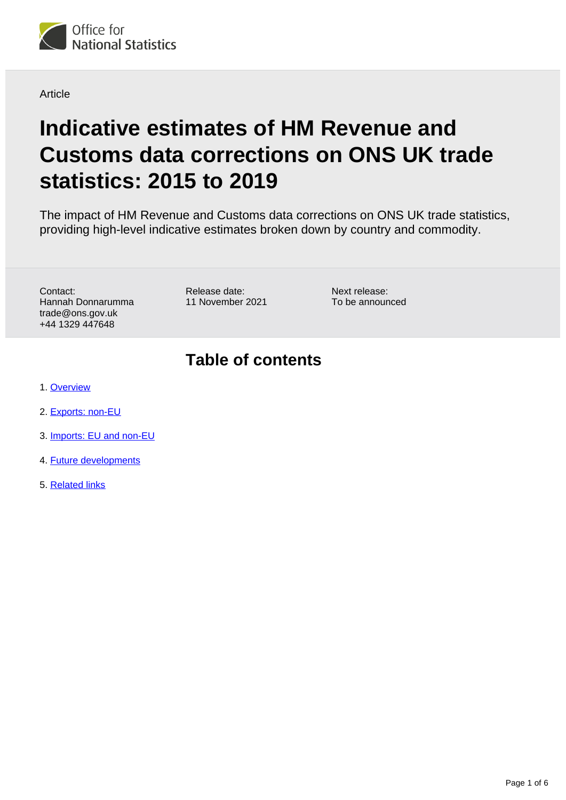

**Article** 

# **Indicative estimates of HM Revenue and Customs data corrections on ONS UK trade statistics: 2015 to 2019**

The impact of HM Revenue and Customs data corrections on ONS UK trade statistics, providing high-level indicative estimates broken down by country and commodity.

Contact: Hannah Donnarumma trade@ons.gov.uk +44 1329 447648

Release date: 11 November 2021 Next release: To be announced

## **Table of contents**

- 1. [Overview](#page-1-0)
- 2. [Exports: non-EU](#page-2-0)
- 3. [Imports: EU and non-EU](#page-4-0)
- 4. [Future developments](#page-4-1)
- 5. [Related links](#page-5-0)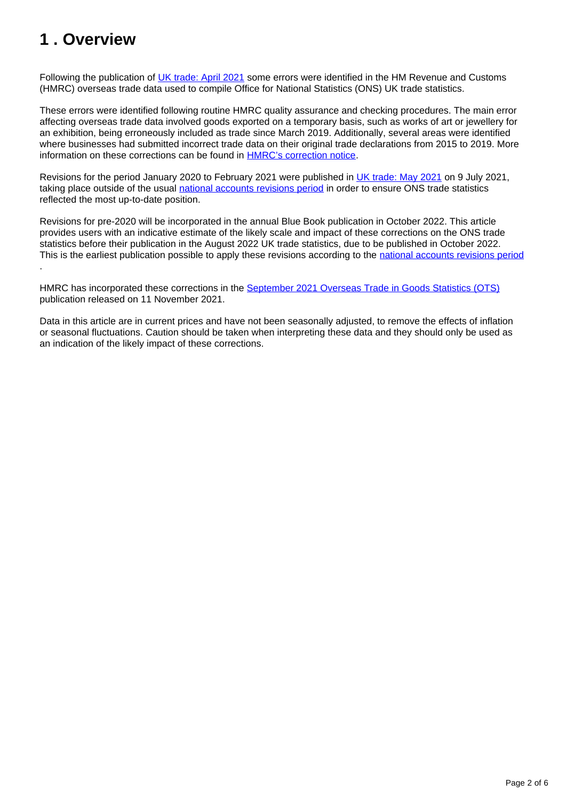### <span id="page-1-0"></span>**1 . Overview**

Following the publication of [UK trade: April 2021](https://www.ons.gov.uk/economy/nationalaccounts/balanceofpayments/bulletins/uktrade/april2021) some errors were identified in the HM Revenue and Customs (HMRC) overseas trade data used to compile Office for National Statistics (ONS) UK trade statistics.

These errors were identified following routine HMRC quality assurance and checking procedures. The main error affecting overseas trade data involved goods exported on a temporary basis, such as works of art or jewellery for an exhibition, being erroneously included as trade since March 2019. Additionally, several areas were identified where businesses had submitted incorrect trade data on their original trade declarations from 2015 to 2019. More information on these corrections can be found in [HMRC's correction notice](https://www.uktradeinfo.com/news/pre-announcement-of-corrections-to-the-overseas-trade-in-goods-statistics/).

Revisions for the period January 2020 to February 2021 were published in [UK trade: May 2021](https://www.ons.gov.uk/economy/nationalaccounts/balanceofpayments/bulletins/uktrade/may2021) on 9 July 2021, taking place outside of the usual [national accounts revisions period](https://www.ons.gov.uk/methodology/methodologytopicsandstatisticalconcepts/revisions/revisionspoliciesforeconomicstatistics/nationalaccountsrevisionspolicyupdateddecember2017) in order to ensure ONS trade statistics reflected the most up-to-date position.

Revisions for pre-2020 will be incorporated in the annual Blue Book publication in October 2022. This article provides users with an indicative estimate of the likely scale and impact of these corrections on the ONS trade statistics before their publication in the August 2022 UK trade statistics, due to be published in October 2022. This is the earliest publication possible to apply these revisions according to the [national accounts revisions period](https://www.ons.gov.uk/methodology/methodologytopicsandstatisticalconcepts/revisions/revisionspoliciesforeconomicstatistics/nationalaccountsrevisionspolicyupdateddecember2017) .

HMRC has incorporated these corrections in the [September 2021 Overseas Trade in Goods Statistics \(OTS\)](https://www.uktradeinfo.com/news/uk-overseas-trade-in-goods-statistics-september-2021/) publication released on 11 November 2021.

Data in this article are in current prices and have not been seasonally adjusted, to remove the effects of inflation or seasonal fluctuations. Caution should be taken when interpreting these data and they should only be used as an indication of the likely impact of these corrections.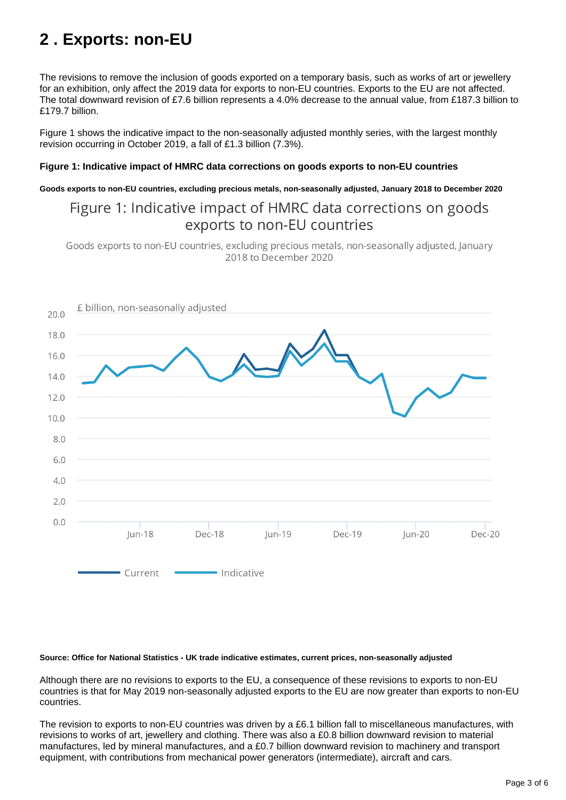## <span id="page-2-0"></span>**2 . Exports: non-EU**

The revisions to remove the inclusion of goods exported on a temporary basis, such as works of art or jewellery for an exhibition, only affect the 2019 data for exports to non-EU countries. Exports to the EU are not affected. The total downward revision of £7.6 billion represents a 4.0% decrease to the annual value, from £187.3 billion to £179.7 billion.

Figure 1 shows the indicative impact to the non-seasonally adjusted monthly series, with the largest monthly revision occurring in October 2019, a fall of £1.3 billion (7.3%).

#### **Figure 1: Indicative impact of HMRC data corrections on goods exports to non-EU countries**

**Goods exports to non-EU countries, excluding precious metals, non-seasonally adjusted, January 2018 to December 2020**

### Figure 1: Indicative impact of HMRC data corrections on goods exports to non-EU countries

Goods exports to non-EU countries, excluding precious metals, non-seasonally adjusted, January 2018 to December 2020



#### **Source: Office for National Statistics - UK trade indicative estimates, current prices, non-seasonally adjusted**

Although there are no revisions to exports to the EU, a consequence of these revisions to exports to non-EU countries is that for May 2019 non-seasonally adjusted exports to the EU are now greater than exports to non-EU countries.

The revision to exports to non-EU countries was driven by a £6.1 billion fall to miscellaneous manufactures, with revisions to works of art, jewellery and clothing. There was also a £0.8 billion downward revision to material manufactures, led by mineral manufactures, and a £0.7 billion downward revision to machinery and transport equipment, with contributions from mechanical power generators (intermediate), aircraft and cars.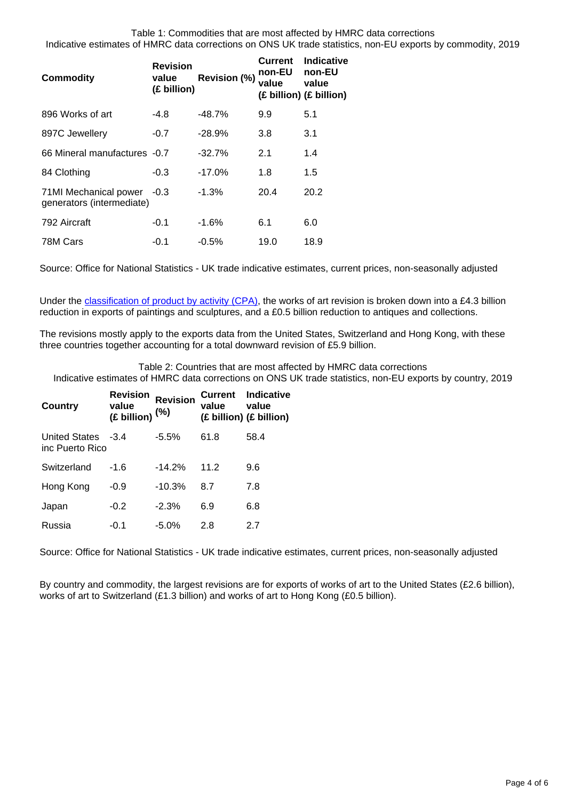| <b>Commodity</b>                                   | <b>Revision</b><br>value<br>(£ billion) | Revision (%) | <b>Current</b><br>non-EU<br>value | Indicative<br>non-EU<br>value<br>(£ billion) (£ billion) |
|----------------------------------------------------|-----------------------------------------|--------------|-----------------------------------|----------------------------------------------------------|
| 896 Works of art                                   | -4.8                                    | -48.7%       | 9.9                               | 5.1                                                      |
| 897C Jewellery                                     | $-0.7$                                  | $-28.9%$     | 3.8                               | 3.1                                                      |
| 66 Mineral manufactures -0.7                       |                                         | $-32.7%$     | 2.1                               | 1.4                                                      |
| 84 Clothing                                        | $-0.3$                                  | $-17.0\%$    | 1.8                               | 1.5                                                      |
| 71MI Mechanical power<br>generators (intermediate) | $-0.3$                                  | $-1.3%$      | 20.4                              | 20.2                                                     |
| 792 Aircraft                                       | $-0.1$                                  | -1.6%        | 6.1                               | 6.0                                                      |
| 78M Cars                                           | $-0.1$                                  | $-0.5\%$     | 19.0                              | 18.9                                                     |

Source: Office for National Statistics - UK trade indicative estimates, current prices, non-seasonally adjusted

Under the [classification of product by activity \(CPA\)](https://www.ons.gov.uk/economy/nationalaccounts/balanceofpayments/datasets/publicationtablesuktradecpa08), the works of art revision is broken down into a £4.3 billion reduction in exports of paintings and sculptures, and a £0.5 billion reduction to antiques and collections.

The revisions mostly apply to the exports data from the United States, Switzerland and Hong Kong, with these three countries together accounting for a total downward revision of £5.9 billion.

Table 2: Countries that are most affected by HMRC data corrections Indicative estimates of HMRC data corrections on ONS UK trade statistics, non-EU exports by country, 2019

| <b>Country</b>                          | <b>Revision</b><br>value<br>$(E$ billion) $(%)$ | <b>Revision</b> | value | <b>Current Indicative</b><br>value<br>(£ billion) (£ billion) |
|-----------------------------------------|-------------------------------------------------|-----------------|-------|---------------------------------------------------------------|
| <b>United States</b><br>inc Puerto Rico | $-3.4$                                          | $-5.5\%$        | 61.8  | 58.4                                                          |
| Switzerland                             | -1.6                                            | $-14.2%$        | 11.2  | 9.6                                                           |
| Hong Kong                               | $-0.9$                                          | $-10.3%$        | 8.7   | 7.8                                                           |
| Japan                                   | $-0.2$                                          | $-2.3%$         | 6.9   | 6.8                                                           |
| Russia                                  | -0.1                                            | $-5.0\%$        | 2.8   | 2.7                                                           |

Source: Office for National Statistics - UK trade indicative estimates, current prices, non-seasonally adjusted

By country and commodity, the largest revisions are for exports of works of art to the United States (£2.6 billion), works of art to Switzerland (£1.3 billion) and works of art to Hong Kong (£0.5 billion).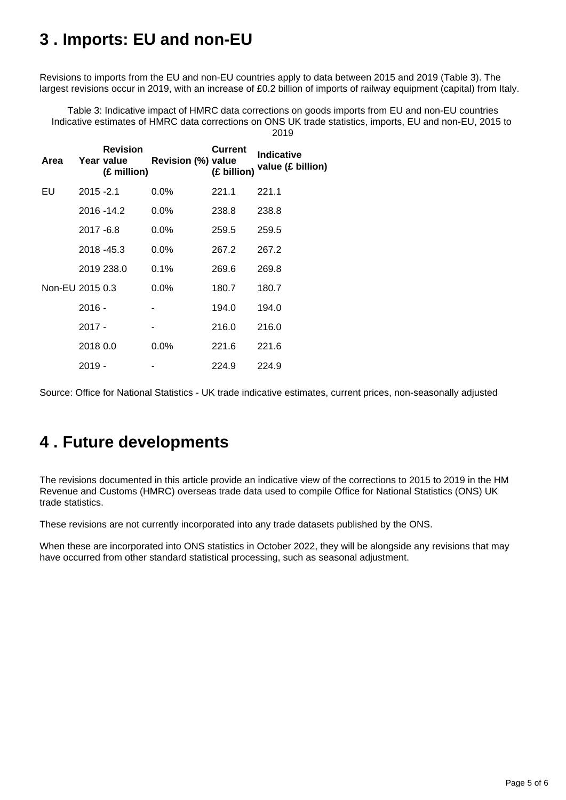### <span id="page-4-0"></span>**3 . Imports: EU and non-EU**

Revisions to imports from the EU and non-EU countries apply to data between 2015 and 2019 (Table 3). The largest revisions occur in 2019, with an increase of £0.2 billion of imports of railway equipment (capital) from Italy.

Table 3: Indicative impact of HMRC data corrections on goods imports from EU and non-EU countries Indicative estimates of HMRC data corrections on ONS UK trade statistics, imports, EU and non-EU, 2015 to 2019

| Area            |              | <b>Revision</b><br>Year value<br>(£ million) | Revision (%) value | <b>Current</b><br>(£ billion) | Indicative<br>value (£ billion) |
|-----------------|--------------|----------------------------------------------|--------------------|-------------------------------|---------------------------------|
| EU              | $2015 - 2.1$ |                                              | $0.0\%$            | 221.1                         | 221.1                           |
|                 |              | 2016 - 14.2                                  | $0.0\%$            | 238.8                         | 238.8                           |
|                 | 2017 - 6.8   |                                              | $0.0\%$            | 259.5                         | 259.5                           |
|                 |              | 2018 - 45.3                                  | $0.0\%$            | 267.2                         | 267.2                           |
|                 |              | 2019 238.0                                   | $0.1\%$            | 269.6                         | 269.8                           |
| Non-EU 2015 0.3 |              |                                              | $0.0\%$            | 180.7                         | 180.7                           |
|                 | $2016 -$     |                                              |                    | 194.0                         | 194.0                           |
|                 | $2017 -$     |                                              |                    | 216.0                         | 216.0                           |
|                 | 2018 0.0     |                                              | $0.0\%$            | 221.6                         | 221.6                           |
|                 | 2019 -       |                                              |                    | 224.9                         | 224.9                           |

Source: Office for National Statistics - UK trade indicative estimates, current prices, non-seasonally adjusted

### <span id="page-4-1"></span>**4 . Future developments**

The revisions documented in this article provide an indicative view of the corrections to 2015 to 2019 in the HM Revenue and Customs (HMRC) overseas trade data used to compile Office for National Statistics (ONS) UK trade statistics.

These revisions are not currently incorporated into any trade datasets published by the ONS.

When these are incorporated into ONS statistics in October 2022, they will be alongside any revisions that may have occurred from other standard statistical processing, such as seasonal adjustment.